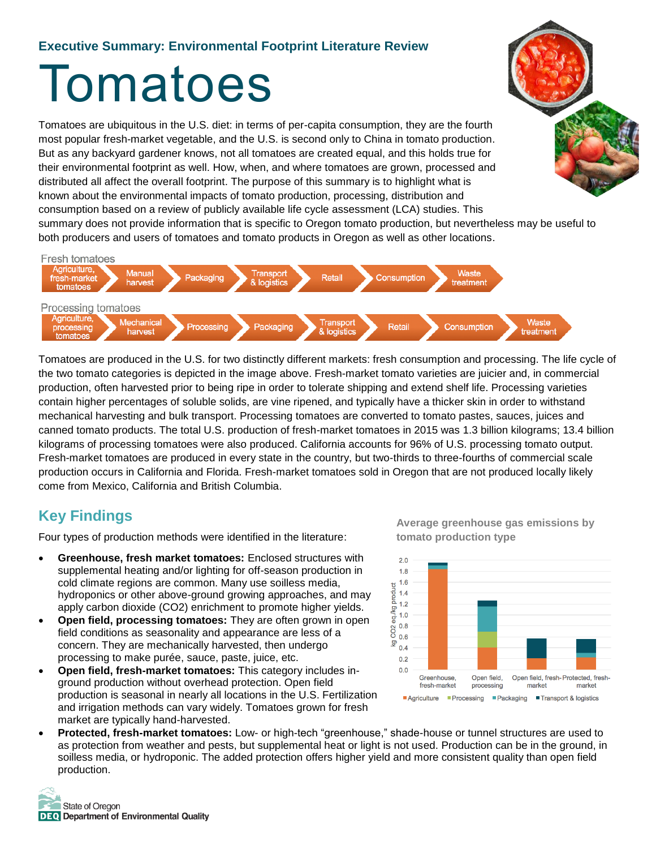### **Executive Summary: Environmental Footprint Literature Review**

# Tomatoes

Tomatoes are ubiquitous in the U.S. diet: in terms of per-capita consumption, they are the fourth most popular fresh-market vegetable, and the U.S. is second only to China in tomato production. But as any backyard gardener knows, not all tomatoes are created equal, and this holds true for their environmental footprint as well. How, when, and where tomatoes are grown, processed and distributed all affect the overall footprint. The purpose of this summary is to highlight what is known about the environmental impacts of tomato production, processing, distribution and consumption based on a review of publicly available life cycle assessment (LCA) studies. This summary does not provide information that is specific to Oregon tomato production, but nevertheless may be useful to both producers and users of tomatoes and tomato products in Oregon as well as other locations.



Tomatoes are produced in the U.S. for two distinctly different markets: fresh consumption and processing. The life cycle of the two tomato categories is depicted in the image above. Fresh-market tomato varieties are juicier and, in commercial production, often harvested prior to being ripe in order to tolerate shipping and extend shelf life. Processing varieties contain higher percentages of soluble solids, are vine ripened, and typically have a thicker skin in order to withstand mechanical harvesting and bulk transport. Processing tomatoes are converted to tomato pastes, sauces, juices and canned tomato products. The total U.S. production of fresh-market tomatoes in 2015 was 1.3 billion kilograms; 13.4 billion kilograms of processing tomatoes were also produced. California accounts for 96% of U.S. processing tomato output. Fresh-market tomatoes are produced in every state in the country, but two-thirds to three-fourths of commercial scale production occurs in California and Florida. Fresh-market tomatoes sold in Oregon that are not produced locally likely come from Mexico, California and British Columbia.

## **Key Findings**

Four types of production methods were identified in the literature:

- **Greenhouse, fresh market tomatoes:** Enclosed structures with supplemental heating and/or lighting for off-season production in cold climate regions are common. Many use soilless media, hydroponics or other above-ground growing approaches, and may apply carbon dioxide (CO2) enrichment to promote higher yields.
- **Open field, processing tomatoes:** They are often grown in open field conditions as seasonality and appearance are less of a concern. They are mechanically harvested, then undergo processing to make purée, sauce, paste, juice, etc.
- **Open field, fresh-market tomatoes:** This category includes inground production without overhead protection. Open field production is seasonal in nearly all locations in the U.S. Fertilization and irrigation methods can vary widely. Tomatoes grown for fresh market are typically hand-harvested.

**Average greenhouse gas emissions by tomato production type**



 **Protected, fresh-market tomatoes:** Low- or high-tech "greenhouse," shade-house or tunnel structures are used to as protection from weather and pests, but supplemental heat or light is not used. Production can be in the ground, in soilless media, or hydroponic. The added protection offers higher yield and more consistent quality than open field production.